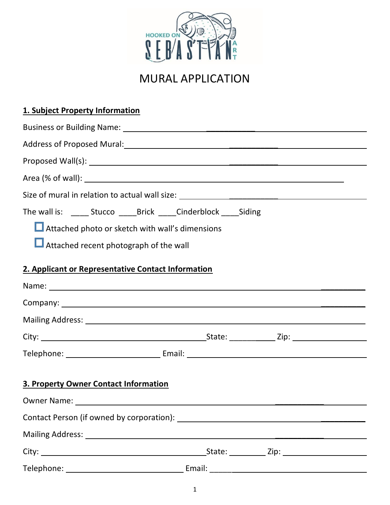

## MURAL APPLICATION

| 1. Subject Property Information                                                   |  |  |
|-----------------------------------------------------------------------------------|--|--|
|                                                                                   |  |  |
|                                                                                   |  |  |
|                                                                                   |  |  |
|                                                                                   |  |  |
| Size of mural in relation to actual wall size: __________________________________ |  |  |
| The wall is: _______ Stucco _______ Brick ______ Cinderblock _____ Siding         |  |  |
| Attached photo or sketch with wall's dimensions                                   |  |  |
| Attached recent photograph of the wall                                            |  |  |
| 2. Applicant or Representative Contact Information                                |  |  |
|                                                                                   |  |  |
|                                                                                   |  |  |
|                                                                                   |  |  |
|                                                                                   |  |  |
|                                                                                   |  |  |
| 3. Property Owner Contact Information                                             |  |  |
|                                                                                   |  |  |
|                                                                                   |  |  |
|                                                                                   |  |  |
|                                                                                   |  |  |
|                                                                                   |  |  |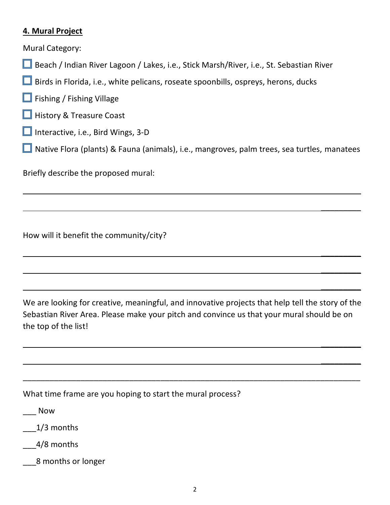## **4. Mural Project**

Mural Category:

- Beach / Indian River Lagoon / Lakes, i.e., Stick Marsh/River, i.e., St. Sebastian River
- $\Box$  Birds in Florida, i.e., white pelicans, roseate spoonbills, ospreys, herons, ducks
- $\Box$  Fishing / Fishing Village
- $\Box$  History & Treasure Coast
- $\Box$  Interactive, i.e., Bird Wings, 3-D
- **□** Native Flora (plants) & Fauna (animals), i.e., mangroves, palm trees, sea turtles, manatees

\_\_\_\_\_\_\_\_\_

\_\_\_\_\_\_\_\_\_

 $\frac{1}{2}$ 

 $\overline{\phantom{a}}$ 

\_\_\_\_\_\_\_\_\_

 $\overline{\phantom{a}}$ 

\_\_\_\_\_\_\_\_\_

Briefly describe the proposed mural:

How will it benefit the community/city?

We are looking for creative, meaningful, and innovative projects that help tell the story of the Sebastian River Area. Please make your pitch and convince us that your mural should be on the top of the list!

\_\_\_\_\_\_\_\_\_\_\_\_\_\_\_\_\_\_\_\_\_\_\_\_\_\_\_\_\_\_\_\_\_\_\_\_\_\_\_\_\_\_\_\_\_\_\_\_\_\_\_\_\_\_\_\_\_\_\_\_\_\_\_\_\_\_\_\_\_\_\_\_\_\_\_\_

What time frame are you hoping to start the mural process?

\_\_\_ Now

\_\_\_1/3 months

\_\_\_4/8 months

\_\_\_8 months or longer